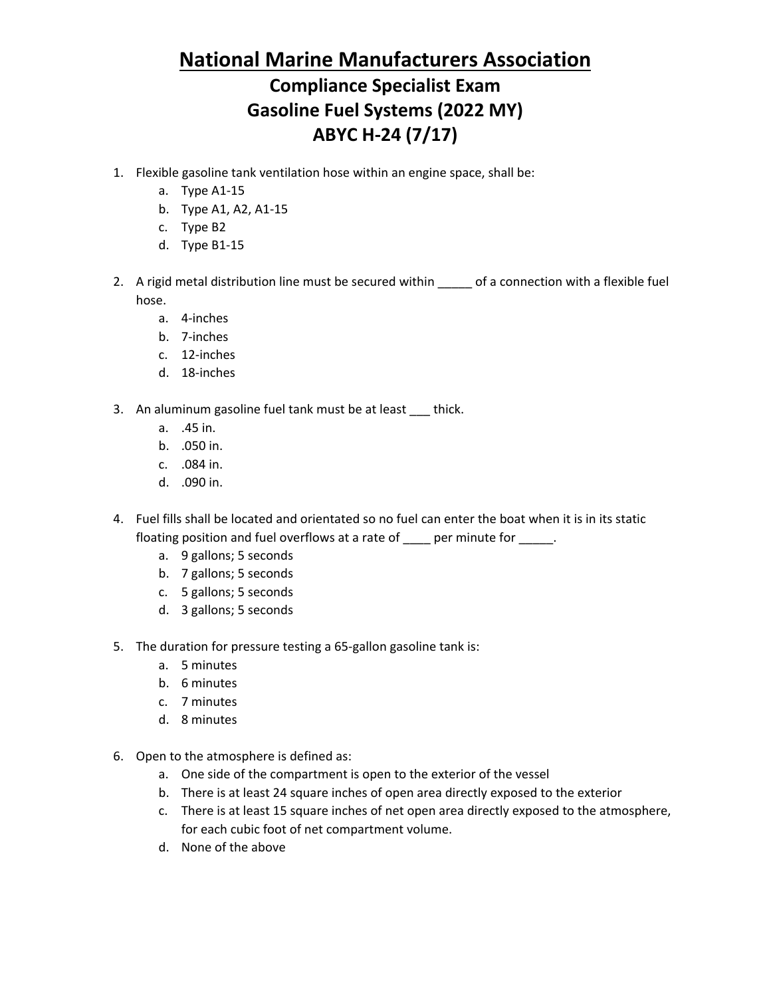## **National Marine Manufacturers Association Compliance Specialist Exam Gasoline Fuel Systems (2022 MY) ABYC H-24 (7/17)**

- 1. Flexible gasoline tank ventilation hose within an engine space, shall be:
	- a. Type A1-15
	- b. Type A1, A2, A1-15
	- c. Type B2
	- d. Type B1-15
- 2. A rigid metal distribution line must be secured within \_\_\_\_\_ of a connection with a flexible fuel hose.
	- a. 4-inches
	- b. 7-inches
	- c. 12-inches
	- d. 18-inches
- 3. An aluminum gasoline fuel tank must be at least \_\_\_ thick.
	- a. .45 in.
	- b. .050 in.
	- c. .084 in.
	- d. .090 in.
- 4. Fuel fills shall be located and orientated so no fuel can enter the boat when it is in its static floating position and fuel overflows at a rate of \_\_\_\_ per minute for \_\_\_\_\_.
	- a. 9 gallons; 5 seconds
	- b. 7 gallons; 5 seconds
	- c. 5 gallons; 5 seconds
	- d. 3 gallons; 5 seconds
- 5. The duration for pressure testing a 65-gallon gasoline tank is:
	- a. 5 minutes
	- b. 6 minutes
	- c. 7 minutes
	- d. 8 minutes
- 6. Open to the atmosphere is defined as:
	- a. One side of the compartment is open to the exterior of the vessel
	- b. There is at least 24 square inches of open area directly exposed to the exterior
	- c. There is at least 15 square inches of net open area directly exposed to the atmosphere, for each cubic foot of net compartment volume.
	- d. None of the above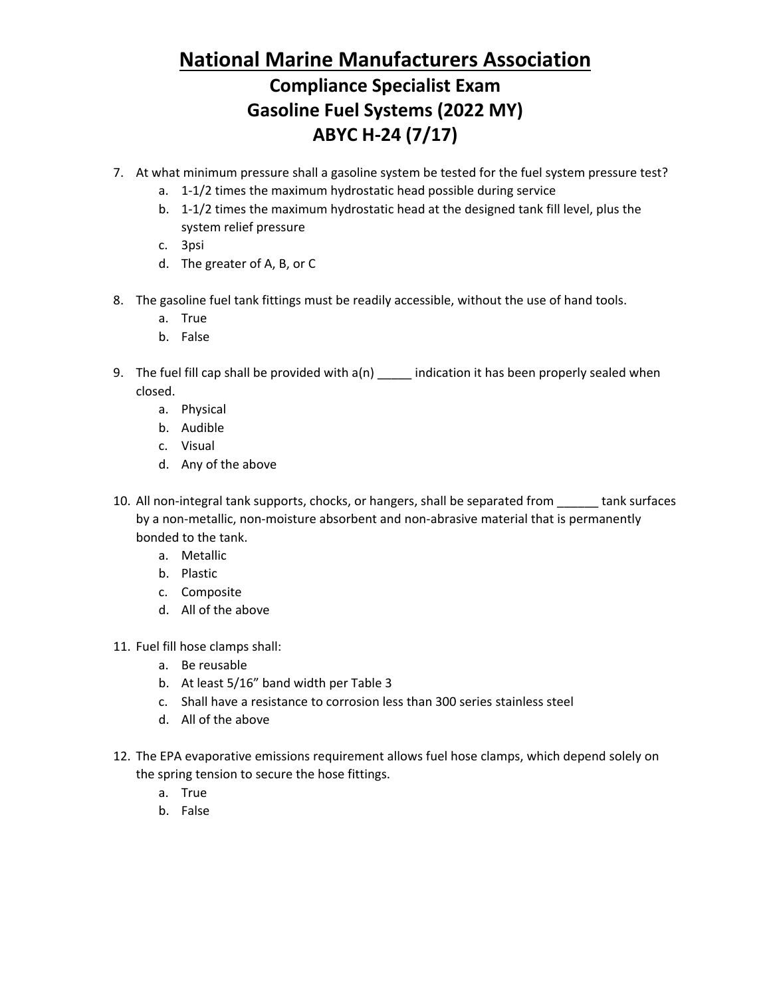# **National Marine Manufacturers Association**

## **Compliance Specialist Exam Gasoline Fuel Systems (2022 MY) ABYC H-24 (7/17)**

- 7. At what minimum pressure shall a gasoline system be tested for the fuel system pressure test?
	- a. 1-1/2 times the maximum hydrostatic head possible during service
	- b. 1-1/2 times the maximum hydrostatic head at the designed tank fill level, plus the system relief pressure
	- c. 3psi
	- d. The greater of A, B, or C
- 8. The gasoline fuel tank fittings must be readily accessible, without the use of hand tools.
	- a. True
	- b. False
- 9. The fuel fill cap shall be provided with a(n) \_\_\_\_\_ indication it has been properly sealed when closed.
	- a. Physical
	- b. Audible
	- c. Visual
	- d. Any of the above
- 10. All non-integral tank supports, chocks, or hangers, shall be separated from \_\_\_\_\_\_ tank surfaces by a non-metallic, non-moisture absorbent and non-abrasive material that is permanently bonded to the tank.
	- a. Metallic
	- b. Plastic
	- c. Composite
	- d. All of the above
- 11. Fuel fill hose clamps shall:
	- a. Be reusable
	- b. At least 5/16" band width per Table 3
	- c. Shall have a resistance to corrosion less than 300 series stainless steel
	- d. All of the above
- 12. The EPA evaporative emissions requirement allows fuel hose clamps, which depend solely on the spring tension to secure the hose fittings.
	- a. True
	- b. False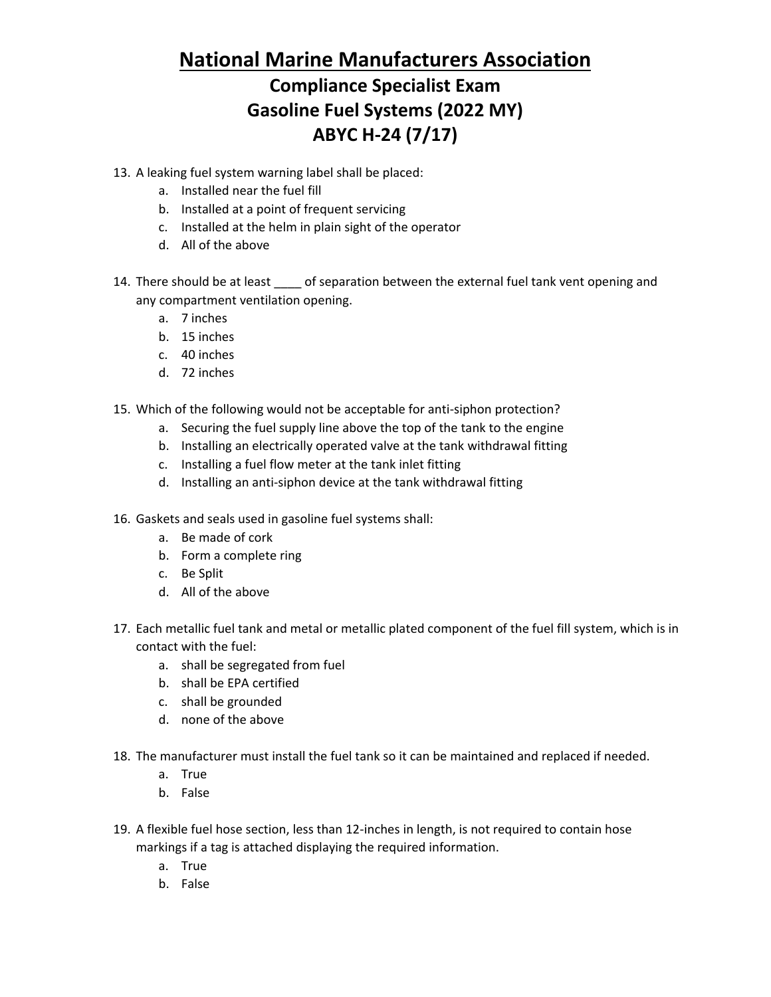#### **National Marine Manufacturers Association**

## **Compliance Specialist Exam Gasoline Fuel Systems (2022 MY) ABYC H-24 (7/17)**

- 13. A leaking fuel system warning label shall be placed:
	- a. Installed near the fuel fill
	- b. Installed at a point of frequent servicing
	- c. Installed at the helm in plain sight of the operator
	- d. All of the above
- 14. There should be at least of separation between the external fuel tank vent opening and any compartment ventilation opening.
	- a. 7 inches
	- b. 15 inches
	- c. 40 inches
	- d. 72 inches
- 15. Which of the following would not be acceptable for anti-siphon protection?
	- a. Securing the fuel supply line above the top of the tank to the engine
	- b. Installing an electrically operated valve at the tank withdrawal fitting
	- c. Installing a fuel flow meter at the tank inlet fitting
	- d. Installing an anti-siphon device at the tank withdrawal fitting
- 16. Gaskets and seals used in gasoline fuel systems shall:
	- a. Be made of cork
	- b. Form a complete ring
	- c. Be Split
	- d. All of the above
- 17. Each metallic fuel tank and metal or metallic plated component of the fuel fill system, which is in contact with the fuel:
	- a. shall be segregated from fuel
	- b. shall be EPA certified
	- c. shall be grounded
	- d. none of the above
- 18. The manufacturer must install the fuel tank so it can be maintained and replaced if needed.
	- a. True
	- b. False
- 19. A flexible fuel hose section, less than 12-inches in length, is not required to contain hose markings if a tag is attached displaying the required information.
	- a. True
	- b. False